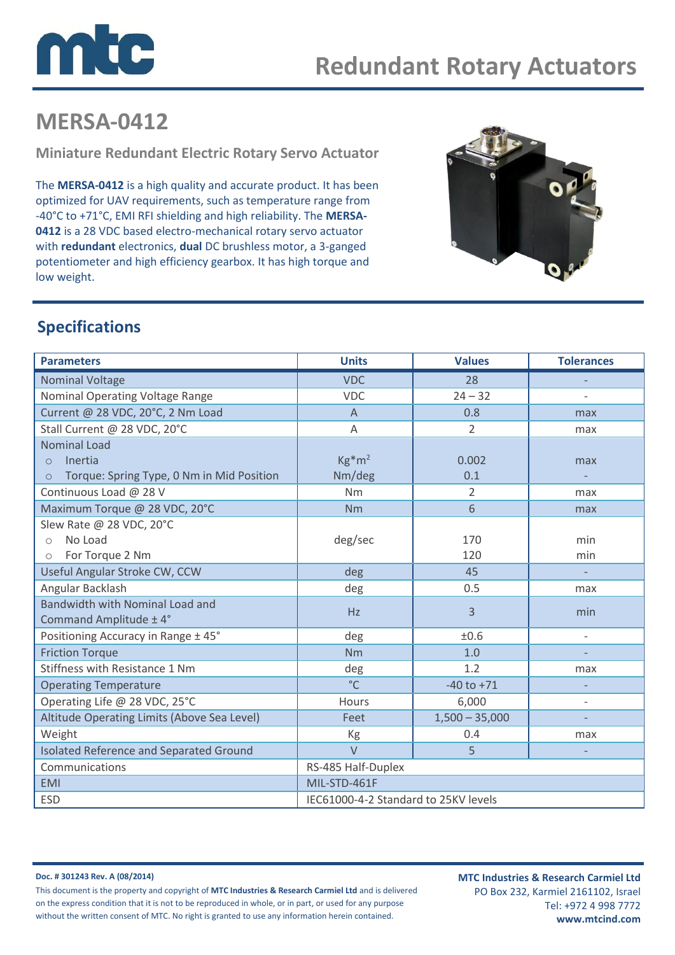

# **MERSA-0412**

**Miniature Redundant Electric Rotary Servo Actuator**

The **MERSA-0412** is a high quality and accurate product. It has been optimized for UAV requirements, such as temperature range from -40°C to +71°C, EMI RFI shielding and high reliability. The **MERSA-0412** is a 28 VDC based electro-mechanical rotary servo actuator with **redundant** electronics, **dual** DC brushless motor, a 3-ganged potentiometer and high efficiency gearbox. It has high torque and low weight.



### **Specifications**

| <b>Parameters</b>                                                                                  | <b>Units</b>                         | <b>Values</b>    | <b>Tolerances</b>        |
|----------------------------------------------------------------------------------------------------|--------------------------------------|------------------|--------------------------|
| <b>Nominal Voltage</b>                                                                             | <b>VDC</b>                           | 28               |                          |
| Nominal Operating Voltage Range                                                                    | <b>VDC</b>                           | $24 - 32$        |                          |
| Current @ 28 VDC, 20°C, 2 Nm Load                                                                  | $\overline{A}$                       | 0.8              | max                      |
| Stall Current @ 28 VDC, 20°C                                                                       | Α                                    | $\overline{2}$   | max                      |
| <b>Nominal Load</b><br>Inertia<br>$\Omega$<br>Torque: Spring Type, 0 Nm in Mid Position<br>$\circ$ | $Kg*m^2$<br>Nm/deg                   | 0.002<br>0.1     | max                      |
| Continuous Load @ 28 V                                                                             | Nm                                   | 2                | max                      |
| Maximum Torque @ 28 VDC, 20°C                                                                      | <b>Nm</b>                            | 6                | max                      |
| Slew Rate @ 28 VDC, 20°C<br>No Load<br>$\bigcirc$<br>For Torque 2 Nm<br>$\bigcirc$                 | deg/sec                              | 170<br>120       | min<br>min               |
| Useful Angular Stroke CW, CCW                                                                      | deg                                  | 45               | $\overline{\phantom{a}}$ |
| Angular Backlash                                                                                   | deg                                  | 0.5              | max                      |
| Bandwidth with Nominal Load and<br>Command Amplitude ± 4°                                          | Hz                                   | 3                | min                      |
| Positioning Accuracy in Range ± 45°                                                                | deg                                  | ±0.6             | $\overline{\phantom{a}}$ |
| <b>Friction Torque</b>                                                                             | <b>Nm</b>                            | 1.0              |                          |
| Stiffness with Resistance 1 Nm                                                                     | deg                                  | 1.2              | max                      |
| <b>Operating Temperature</b>                                                                       | $^{\circ}$ C                         | $-40$ to $+71$   |                          |
| Operating Life @ 28 VDC, 25°C                                                                      | Hours                                | 6,000            | $\overline{\phantom{a}}$ |
| Altitude Operating Limits (Above Sea Level)                                                        | Feet                                 | $1,500 - 35,000$ | $\overline{\phantom{a}}$ |
| Weight                                                                                             | Kg                                   | 0.4              | max                      |
| Isolated Reference and Separated Ground                                                            | $\vee$                               | 5                |                          |
| Communications                                                                                     | RS-485 Half-Duplex                   |                  |                          |
| <b>EMI</b>                                                                                         | MIL-STD-461F                         |                  |                          |
| <b>ESD</b>                                                                                         | IEC61000-4-2 Standard to 25KV levels |                  |                          |

**Doc. # 301243 Rev. A (08/2014)** This document is the property and copyright of **MTC Industries & Research Carmiel Ltd** and is delivered on the express condition that it is not to be reproduced in whole, or in part, or used for any purpose without the written consent of MTC. No right is granted to use any information herein contained.

**MTC Industries & Research Carmiel Ltd** PO Box 232, Karmiel 2161102, Israel Tel: +972 4 998 7772 **www.mtcind.com**